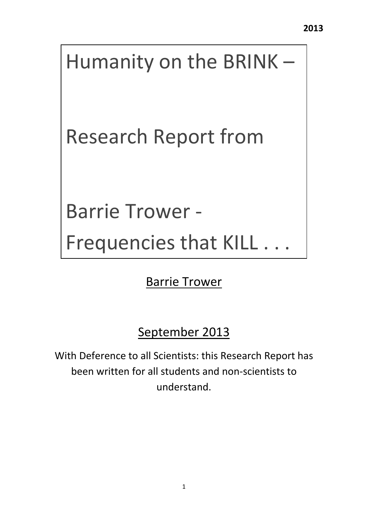# Humanity on the BRINK –

Research Report from

Barrie Trower ‐

Frequencies that KILL . . .

Barrie Trower

September 2013

With Deference to all Scientists: this Research Report has been written for all students and non‐scientists to understand.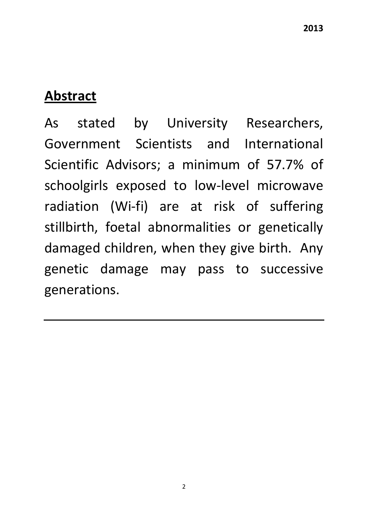## **Abstract**

As stated by University Researchers, Government Scientists and International Scientific Advisors; a minimum of 57.7% of schoolgirls exposed to low-level microwave radiation (Wi‐fi) are at risk of suffering stillbirth, foetal abnormalities or genetically damaged children, when they give birth. Any genetic damage may pass to successive generations.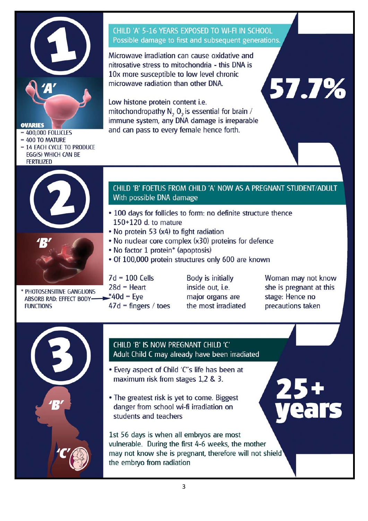

#### **OVARIES**

- $= 400,000$  FOLLICLES
- $= 400$  TO MATURE
- = 14 EACH CYCLE TO PRODUCE **EGG(S) WHICH CAN BE FERTILIZED**





**CHILD 'A' 5-16 YEARS EXPOSED TO WI-FI IN SCHOOL** Possible damage to first and subsequent generations.

Microwave irradiation can cause oxidative and nitrosative stress to mitochondria - this DNA is 10x more susceptible to low level chronic microwave radiation than other DNA.

Low histone protein content i.e. mitochondropathy N<sub>2</sub> O<sub>2</sub> is essential for brain / immune system, any DNA damage is irreparable and can pass to every female hence forth.

#### CHILD 'B' FOETUS FROM CHILD 'A' NOW AS A PREGNANT STUDENT/ADULT With possible DNA damage

- 100 days for follicles to form: no definite structure thence 150+120 d. to mature
- . No protein 53 (x4) to fight radiation
- . No nuclear core complex (x30) proteins for defence
- No factor 1 protein\* (apoptosis)
- · Of 100,000 protein structures only 600 are known

PHOTOSENSITIVE GANGLIONS ABSORB RAD: EFFECT BODY-**FUNCTIONS** 

- $7d = 100$  Cells  $28d$  = Heart  $*40d$  = Eve  $47d$  = fingers / toes
- **Body is initially** inside out, i.e. major organs are the most irradiated

Woman may not know she is pregnant at this stage: Hence no precautions taken

57.7%



#### CHILD 'B' IS NOW PREGNANT CHILD 'C' Adult Child C may already have been irradiated

- . Every aspect of Child 'C"s life has been at maximum risk from stages 1,2 & 3.
- . The greatest risk is yet to come. Biggest danger from school wi-fi irradiation on students and teachers

1st 56 days is when all embryos are most vulnerable. During the first 4-6 weeks, the mother may not know she is pregnant, therefore will not shield the embryo from radiation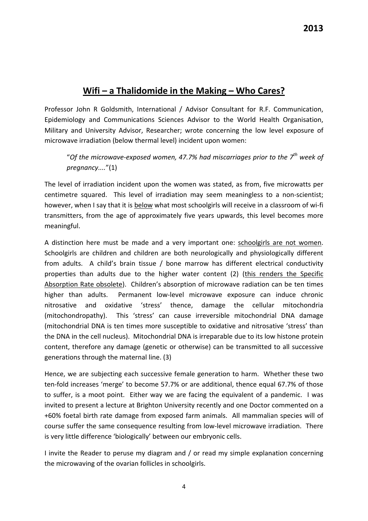## **Wifi – a Thalidomide in the Making – Who Cares?**

Professor John R Goldsmith, International / Advisor Consultant for R.F. Communication, Epidemiology and Communications Sciences Advisor to the World Health Organisation, Military and University Advisor, Researcher; wrote concerning the low level exposure of microwave irradiation (below thermal level) incident upon women:

"*Of the microwave‐exposed women, 47.7% had miscarriages prior to the 7th week of pregnancy....*"(1)

The level of irradiation incident upon the women was stated, as from, five microwatts per centimetre squared. This level of irradiation may seem meaningless to a non-scientist; however, when I say that it is below what most schoolgirls will receive in a classroom of wi-fi transmitters, from the age of approximately five years upwards, this level becomes more meaningful.

A distinction here must be made and a very important one: schoolgirls are not women. Schoolgirls are children and children are both neurologically and physiologically different from adults. A child's brain tissue / bone marrow has different electrical conductivity properties than adults due to the higher water content (2) (this renders the Specific Absorption Rate obsolete). Children's absorption of microwave radiation can be ten times higher than adults. Permanent low-level microwave exposure can induce chronic nitrosative and oxidative 'stress' thence, damage the cellular mitochondria (mitochondropathy). This 'stress' can cause irreversible mitochondrial DNA damage (mitochondrial DNA is ten times more susceptible to oxidative and nitrosative 'stress' than the DNA in the cell nucleus). Mitochondrial DNA is irreparable due to its low histone protein content, therefore any damage (genetic or otherwise) can be transmitted to all successive generations through the maternal line. (3)

Hence, we are subjecting each successive female generation to harm. Whether these two ten‐fold increases 'merge' to become 57.7% or are additional, thence equal 67.7% of those to suffer, is a moot point. Either way we are facing the equivalent of a pandemic. I was invited to present a lecture at Brighton University recently and one Doctor commented on a +60% foetal birth rate damage from exposed farm animals. All mammalian species will of course suffer the same consequence resulting from low‐level microwave irradiation. There is very little difference 'biologically' between our embryonic cells.

I invite the Reader to peruse my diagram and / or read my simple explanation concerning the microwaving of the ovarian follicles in schoolgirls.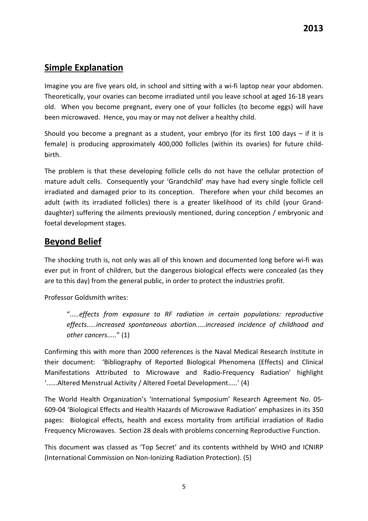## **Simple Explanation**

Imagine you are five years old, in school and sitting with a wi-fi laptop near your abdomen. Theoretically, your ovaries can become irradiated until you leave school at aged 16‐18 years old. When you become pregnant, every one of your follicles (to become eggs) will have been microwaved. Hence, you may or may not deliver a healthy child.

Should you become a pregnant as a student, your embryo (for its first 100 days – if it is female) is producing approximately 400,000 follicles (within its ovaries) for future childbirth.

The problem is that these developing follicle cells do not have the cellular protection of mature adult cells. Consequently your 'Grandchild' may have had every single follicle cell irradiated and damaged prior to its conception. Therefore when your child becomes an adult (with its irradiated follicles) there is a greater likelihood of its child (your Grand‐ daughter) suffering the ailments previously mentioned, during conception / embryonic and foetal development stages.

## **Beyond Belief**

The shocking truth is, not only was all of this known and documented long before wi‐fi was ever put in front of children, but the dangerous biological effects were concealed (as they are to this day) from the general public, in order to protect the industries profit.

Professor Goldsmith writes:

"*.....effects from exposure to RF radiation in certain populations: reproductive effects.....increased spontaneous abortion.....increased incidence of childhood and other cancers.....*" (1)

Confirming this with more than 2000 references is the Naval Medical Research Institute in their document: 'Bibliography of Reported Biological Phenomena (Effects) and Clinical Manifestations Attributed to Microwave and Radio‐Frequency Radiation' highlight '......Altered Menstrual Activity / Altered Foetal Development.....' (4)

The World Health Organization's 'International Symposium' Research Agreement No. 05‐ 609‐04 'Biological Effects and Health Hazards of Microwave Radiation' emphasizes in its 350 pages: Biological effects, health and excess mortality from artificial irradiation of Radio Frequency Microwaves. Section 28 deals with problems concerning Reproductive Function.

This document was classed as 'Top Secret' and its contents withheld by WHO and ICNIRP (International Commission on Non‐Ionizing Radiation Protection). (5)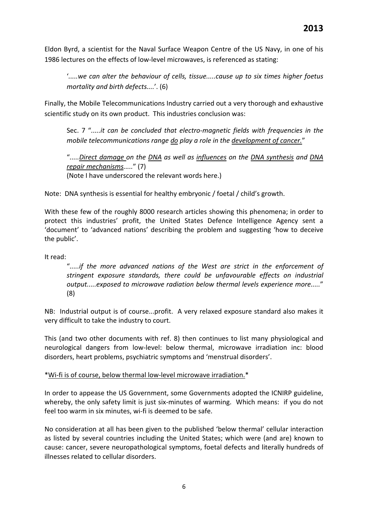Eldon Byrd, a scientist for the Naval Surface Weapon Centre of the US Navy, in one of his 1986 lectures on the effects of low‐level microwaves, is referenced as stating:

'*.....we can alter the behaviour of cells, tissue.....cause up to six times higher foetus mortality and birth defects....*'. (6)

Finally, the Mobile Telecommunications Industry carried out a very thorough and exhaustive scientific study on its own product. This industries conclusion was:

Sec. 7 "*.....it can be concluded that electro‐magnetic fields with frequencies in the mobile telecommunications range do play a role in the development of cancer.*"

"*.....Direct damage on the DNA as well as influences on the DNA synthesis and DNA repair mechanisms.....*" (7) (Note I have underscored the relevant words here.)

Note: DNA synthesis is essential for healthy embryonic / foetal / child's growth.

With these few of the roughly 8000 research articles showing this phenomena; in order to protect this industries' profit, the United States Defence Intelligence Agency sent a 'document' to 'advanced nations' describing the problem and suggesting 'how to deceive the public'.

It read:

"*.....if the more advanced nations of the West are strict in the enforcement of stringent exposure standards, there could be unfavourable effects on industrial output.....exposed to microwave radiation below thermal levels experience more.....*" (8)

NB: Industrial output is of course...profit. A very relaxed exposure standard also makes it very difficult to take the industry to court.

This (and two other documents with ref. 8) then continues to list many physiological and neurological dangers from low‐level: below thermal, microwave irradiation inc: blood disorders, heart problems, psychiatric symptoms and 'menstrual disorders'.

#### \*Wi‐fi is of course, below thermal low‐level microwave irradiation.\*

In order to appease the US Government, some Governments adopted the ICNIRP guideline, whereby, the only safety limit is just six-minutes of warming. Which means: if you do not feel too warm in six minutes, wi-fi is deemed to be safe.

No consideration at all has been given to the published 'below thermal' cellular interaction as listed by several countries including the United States; which were (and are) known to cause: cancer, severe neuropathological symptoms, foetal defects and literally hundreds of illnesses related to cellular disorders.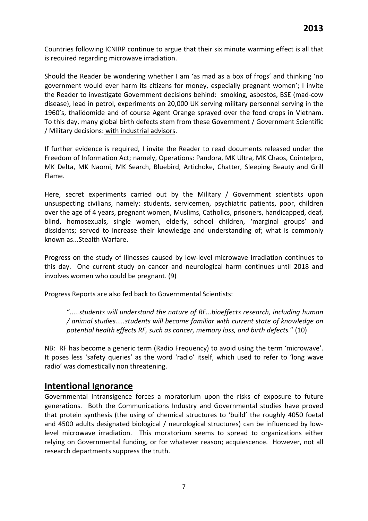Countries following ICNIRP continue to argue that their six minute warming effect is all that is required regarding microwave irradiation.

Should the Reader be wondering whether I am 'as mad as a box of frogs' and thinking 'no government would ever harm its citizens for money, especially pregnant women'; I invite the Reader to investigate Government decisions behind: smoking, asbestos, BSE (mad‐cow disease), lead in petrol, experiments on 20,000 UK serving military personnel serving in the 1960's, thalidomide and of course Agent Orange sprayed over the food crops in Vietnam. To this day, many global birth defects stem from these Government / Government Scientific / Military decisions: with industrial advisors.

If further evidence is required, I invite the Reader to read documents released under the Freedom of Information Act; namely, Operations: Pandora, MK Ultra, MK Chaos, Cointelpro, MK Delta, MK Naomi, MK Search, Bluebird, Artichoke, Chatter, Sleeping Beauty and Grill Flame.

Here, secret experiments carried out by the Military / Government scientists upon unsuspecting civilians, namely: students, servicemen, psychiatric patients, poor, children over the age of 4 years, pregnant women, Muslims, Catholics, prisoners, handicapped, deaf, blind, homosexuals, single women, elderly, school children, 'marginal groups' and dissidents; served to increase their knowledge and understanding of; what is commonly known as...Stealth Warfare.

Progress on the study of illnesses caused by low‐level microwave irradiation continues to this day. One current study on cancer and neurological harm continues until 2018 and involves women who could be pregnant. (9)

Progress Reports are also fed back to Governmental Scientists:

"*.....students will understand the nature of RF...bioeffects research, including human / animal studies.....students will become familiar with current state of knowledge on potential health effects RF, such as cancer, memory loss, and birth defects.*" (10)

NB: RF has become a generic term (Radio Frequency) to avoid using the term 'microwave'. It poses less 'safety queries' as the word 'radio' itself, which used to refer to 'long wave radio' was domestically non threatening.

#### **Intentional Ignorance**

Governmental Intransigence forces a moratorium upon the risks of exposure to future generations. Both the Communications Industry and Governmental studies have proved that protein synthesis (the using of chemical structures to 'build' the roughly 4050 foetal and 4500 adults designated biological / neurological structures) can be influenced by low‐ level microwave irradiation. This moratorium seems to spread to organizations either relying on Governmental funding, or for whatever reason; acquiescence. However, not all research departments suppress the truth.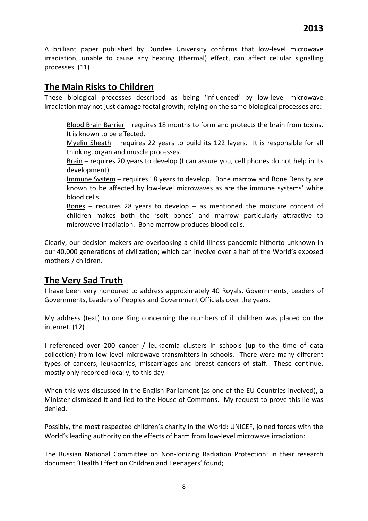A brilliant paper published by Dundee University confirms that low‐level microwave irradiation, unable to cause any heating (thermal) effect, can affect cellular signalling processes. (11)

#### **The Main Risks to Children**

These biological processes described as being 'influenced' by low‐level microwave irradiation may not just damage foetal growth; relying on the same biological processes are:

Blood Brain Barrier – requires 18 months to form and protects the brain from toxins. It is known to be effected.

Myelin Sheath – requires 22 years to build its 122 layers. It is responsible for all thinking, organ and muscle processes.

Brain – requires 20 years to develop (I can assure you, cell phones do not help in its development).

Immune System – requires 18 years to develop. Bone marrow and Bone Density are known to be affected by low-level microwaves as are the immune systems' white blood cells.

Bones – requires 28 years to develop – as mentioned the moisture content of children makes both the 'soft bones' and marrow particularly attractive to microwave irradiation. Bone marrow produces blood cells.

Clearly, our decision makers are overlooking a child illness pandemic hitherto unknown in our 40,000 generations of civilization; which can involve over a half of the World's exposed mothers / children.

## **The Very Sad Truth**

I have been very honoured to address approximately 40 Royals, Governments, Leaders of Governments, Leaders of Peoples and Government Officials over the years.

My address (text) to one King concerning the numbers of ill children was placed on the internet. (12)

I referenced over 200 cancer / leukaemia clusters in schools (up to the time of data collection) from low level microwave transmitters in schools. There were many different types of cancers, leukaemias, miscarriages and breast cancers of staff. These continue, mostly only recorded locally, to this day.

When this was discussed in the English Parliament (as one of the EU Countries involved), a Minister dismissed it and lied to the House of Commons. My request to prove this lie was denied.

Possibly, the most respected children's charity in the World: UNICEF, joined forces with the World's leading authority on the effects of harm from low-level microwave irradiation:

The Russian National Committee on Non-Ionizing Radiation Protection: in their research document 'Health Effect on Children and Teenagers' found;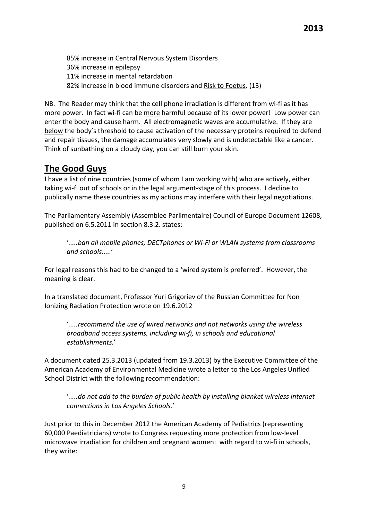85% increase in Central Nervous System Disorders 36% increase in epilepsy 11% increase in mental retardation 82% increase in blood immune disorders and Risk to Foetus. (13)

NB. The Reader may think that the cell phone irradiation is different from wi-fi as it has more power. In fact wi-fi can be more harmful because of its lower power! Low power can enter the body and cause harm. All electromagnetic waves are accumulative. If they are below the body's threshold to cause activation of the necessary proteins required to defend and repair tissues, the damage accumulates very slowly and is undetectable like a cancer. Think of sunbathing on a cloudy day, you can still burn your skin.

## **The Good Guys**

I have a list of nine countries (some of whom I am working with) who are actively, either taking wi‐fi out of schools or in the legal argument‐stage of this process. I decline to publically name these countries as my actions may interfere with their legal negotiations.

The Parliamentary Assembly (Assemblee Parlimentaire) Council of Europe Document 12608, published on 6.5.2011 in section 8.3.2. states:

'*.....ban all mobile phones, DECTphones or Wi‐Fi or WLAN systems from classrooms and schools.....*'

For legal reasons this had to be changed to a 'wired system is preferred'. However, the meaning is clear.

In a translated document, Professor Yuri Grigoriev of the Russian Committee for Non Ionizing Radiation Protection wrote on 19.6.2012

'*.....recommend the use of wired networks and not networks using the wireless broadband access systems, including wi‐fi, in schools and educational establishments.*'

A document dated 25.3.2013 (updated from 19.3.2013) by the Executive Committee of the American Academy of Environmental Medicine wrote a letter to the Los Angeles Unified School District with the following recommendation:

'*.....do not add to the burden of public health by installing blanket wireless internet connections in Los Angeles Schools.*'

Just prior to this in December 2012 the American Academy of Pediatrics (representing 60,000 Paediatricians) wrote to Congress requesting more protection from low‐level microwave irradiation for children and pregnant women: with regard to wi‐fi in schools, they write: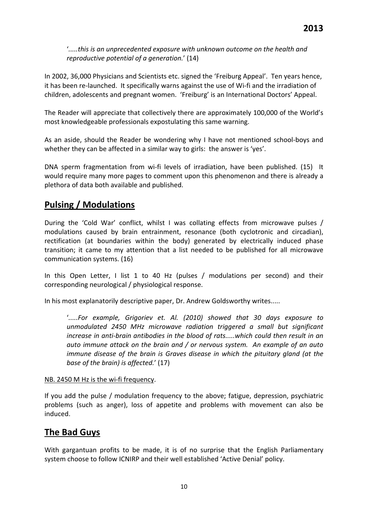'*.....this is an unprecedented exposure with unknown outcome on the health and reproductive potential of a generation.*' (14)

In 2002, 36,000 Physicians and Scientists etc. signed the 'Freiburg Appeal'. Ten years hence, it has been re-launched. It specifically warns against the use of Wi-fi and the irradiation of children, adolescents and pregnant women. 'Freiburg' is an International Doctors' Appeal.

The Reader will appreciate that collectively there are approximately 100,000 of the World's most knowledgeable professionals expostulating this same warning.

As an aside, should the Reader be wondering why I have not mentioned school‐boys and whether they can be affected in a similar way to girls: the answer is 'yes'.

DNA sperm fragmentation from wi-fi levels of irradiation, have been published. (15) It would require many more pages to comment upon this phenomenon and there is already a plethora of data both available and published.

## **Pulsing / Modulations**

During the 'Cold War' conflict, whilst I was collating effects from microwave pulses / modulations caused by brain entrainment, resonance (both cyclotronic and circadian), rectification (at boundaries within the body) generated by electrically induced phase transition; it came to my attention that a list needed to be published for all microwave communication systems. (16)

In this Open Letter, I list 1 to 40 Hz (pulses / modulations per second) and their corresponding neurological / physiological response.

In his most explanatorily descriptive paper, Dr. Andrew Goldsworthy writes.....

'*.....For example, Grigoriev et. Al. (2010) showed that 30 days exposure to unmodulated 2450 MHz microwave radiation triggered a small but significant increase in anti‐brain antibodies in the blood of rats.....which could then result in an auto immune attack on the brain and / or nervous system. An example of an auto immune disease of the brain is Graves disease in which the pituitary gland (at the base of the brain) is affected.*' (17)

#### NB. 2450 M Hz is the wi‐fi frequency.

If you add the pulse / modulation frequency to the above; fatigue, depression, psychiatric problems (such as anger), loss of appetite and problems with movement can also be induced.

#### **The Bad Guys**

With gargantuan profits to be made, it is of no surprise that the English Parliamentary system choose to follow ICNIRP and their well established 'Active Denial' policy.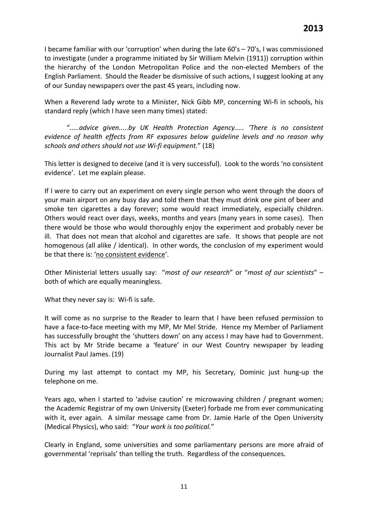I became familiar with our 'corruption' when during the late 60's – 70's, I was commissioned to investigate (under a programme initiated by Sir William Melvin (1911)) corruption within the hierarchy of the London Metropolitan Police and the non‐elected Members of the English Parliament. Should the Reader be dismissive of such actions, I suggest looking at any of our Sunday newspapers over the past 45 years, including now.

When a Reverend lady wrote to a Minister, Nick Gibb MP, concerning Wi‐fi in schools, his standard reply (which I have seen many times) stated:

"*.....advice given.....by UK Health Protection Agency..... 'There is no consistent evidence of health effects from RF exposures below guideline levels and no reason why schools and others should not use Wi‐fi equipment.*" (18)

This letter is designed to deceive (and it is very successful). Look to the words 'no consistent evidence'. Let me explain please.

If I were to carry out an experiment on every single person who went through the doors of your main airport on any busy day and told them that they must drink one pint of beer and smoke ten cigarettes a day forever; some would react immediately, especially children. Others would react over days, weeks, months and years (many years in some cases). Then there would be those who would thoroughly enjoy the experiment and probably never be ill. That does not mean that alcohol and cigarettes are safe. It shows that people are not homogenous (all alike / identical). In other words, the conclusion of my experiment would be that there is: 'no consistent evidence'.

Other Ministerial letters usually say: "*most of our research*" or "*most of our scientists*" – both of which are equally meaningless.

What they never say is: Wi-fi is safe.

It will come as no surprise to the Reader to learn that I have been refused permission to have a face-to-face meeting with my MP, Mr Mel Stride. Hence my Member of Parliament has successfully brought the 'shutters down' on any access I may have had to Government. This act by Mr Stride became a 'feature' in our West Country newspaper by leading Journalist Paul James. (19)

During my last attempt to contact my MP, his Secretary, Dominic just hung‐up the telephone on me.

Years ago, when I started to 'advise caution' re microwaving children / pregnant women; the Academic Registrar of my own University (Exeter) forbade me from ever communicating with it, ever again. A similar message came from Dr. Jamie Harle of the Open University (Medical Physics), who said: "*Your work is too political.*"

Clearly in England, some universities and some parliamentary persons are more afraid of governmental 'reprisals' than telling the truth. Regardless of the consequences.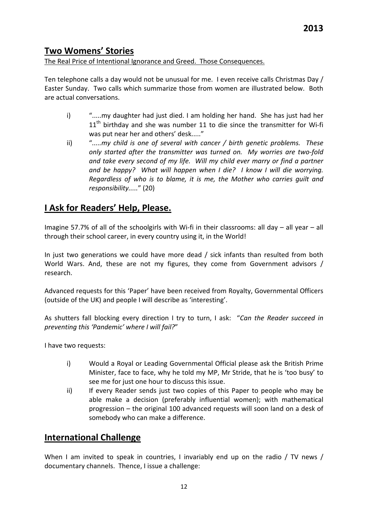## **Two Womens' Stories**

#### The Real Price of Intentional Ignorance and Greed. Those Consequences.

Ten telephone calls a day would not be unusual for me. I even receive calls Christmas Day / Easter Sunday. Two calls which summarize those from women are illustrated below. Both are actual conversations.

- i) ".....my daughter had just died. I am holding her hand. She has just had her  $11<sup>th</sup>$  birthday and she was number 11 to die since the transmitter for Wi-fi was put near her and others' desk....."
- ii) "*.....my child is one of several with cancer / birth genetic problems. These only started after the transmitter was turned on. My worries are two‐fold and take every second of my life. Will my child ever marry or find a partner and be happy? What will happen when I die? I know I will die worrying. Regardless of who is to blame, it is me, the Mother who carries guilt and responsibility.....*" (20)

#### **I Ask for Readers' Help, Please.**

Imagine 57.7% of all of the schoolgirls with Wi‐fi in their classrooms: all day – all year – all through their school career, in every country using it, in the World!

In just two generations we could have more dead / sick infants than resulted from both World Wars. And, these are not my figures, they come from Government advisors / research.

Advanced requests for this 'Paper' have been received from Royalty, Governmental Officers (outside of the UK) and people I will describe as 'interesting'.

As shutters fall blocking every direction I try to turn, I ask: "*Can the Reader succeed in preventing this 'Pandemic' where I will fail?*"

I have two requests:

- i) Would a Royal or Leading Governmental Official please ask the British Prime Minister, face to face, why he told my MP, Mr Stride, that he is 'too busy' to see me for just one hour to discuss this issue.
- ii) If every Reader sends just two copies of this Paper to people who may be able make a decision (preferably influential women); with mathematical progression – the original 100 advanced requests will soon land on a desk of somebody who can make a difference.

#### **International Challenge**

When I am invited to speak in countries, I invariably end up on the radio / TV news / documentary channels. Thence, I issue a challenge: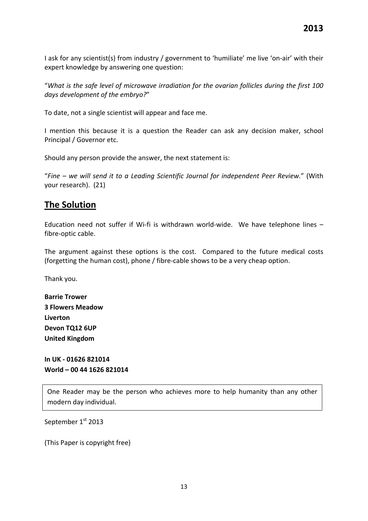I ask for any scientist(s) from industry / government to 'humiliate' me live 'on‐air' with their expert knowledge by answering one question:

"*What is the safe level of microwave irradiation for the ovarian follicles during the first 100 days development of the embryo?*"

To date, not a single scientist will appear and face me.

I mention this because it is a question the Reader can ask any decision maker, school Principal / Governor etc.

Should any person provide the answer, the next statement is:

"*Fine – we will send it to a Leading Scientific Journal for independent Peer Review.*" (With your research). (21)

#### **The Solution**

Education need not suffer if Wi-fi is withdrawn world-wide. We have telephone lines – fibre‐optic cable.

The argument against these options is the cost. Compared to the future medical costs (forgetting the human cost), phone / fibre‐cable shows to be a very cheap option.

Thank you.

| <b>Barrie Trower</b>    |
|-------------------------|
| <b>3 Flowers Meadow</b> |
| Liverton                |
| Devon TQ12 6UP          |
| <b>United Kingdom</b>   |

**In UK ‐ 01626 821014 World – 00 44 1626 821014**

One Reader may be the person who achieves more to help humanity than any other modern day individual.

September 1st 2013

(This Paper is copyright free)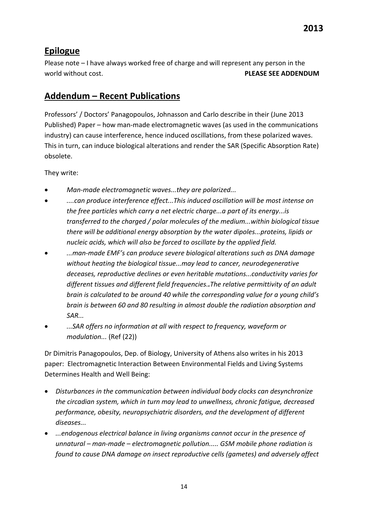## **Epilogue**

Please note – I have always worked free of charge and will represent any person in the world without cost. **PLEASE SEE ADDENDUM**

#### **Addendum – Recent Publications**

Professors' / Doctors' Panagopoulos, Johnasson and Carlo describe in their (June 2013 Published) Paper – how man‐made electromagnetic waves (as used in the communications industry) can cause interference, hence induced oscillations, from these polarized waves. This in turn, can induce biological alterations and render the SAR (Specific Absorption Rate) obsolete.

They write:

- *Man‐made electromagnetic waves...they are polarized...*
- *....can produce interference effect...This induced oscillation will be most intense on the free particles which carry a net electric charge...a part of its energy...is transferred to the charged / polar molecules of the medium...within biological tissue there will be additional energy absorption by the water dipoles...proteins, lipids or nucleic acids, which will also be forced to oscillate by the applied field.*
- *...man‐made EMF's can produce severe biological alterations such as DNA damage without heating the biological tissue...may lead to cancer, neurodegenerative deceases, reproductive declines or even heritable mutations...conductivity varies for different tissues and different field frequencies..The relative permittivity of an adult brain is calculated to be around 40 while the corresponding value for a young child's brain is between 60 and 80 resulting in almost double the radiation absorption and SAR...*
- *...SAR offers no information at all with respect to frequency, waveform or modulation...* (Ref (22))

Dr Dimitris Panagopoulos, Dep. of Biology, University of Athens also writes in his 2013 paper: Electromagnetic Interaction Between Environmental Fields and Living Systems Determines Health and Well Being:

- *Disturbances in the communication between individual body clocks can desynchronize the circadian system, which in turn may lead to unwellness, chronic fatigue, decreased performance, obesity, neuropsychiatric disorders, and the development of different diseases...*
- *...endogenous electrical balance in living organisms cannot occur in the presence of unnatural – man‐made – electromagnetic pollution..... GSM mobile phone radiation is found to cause DNA damage on insect reproductive cells (gametes) and adversely affect*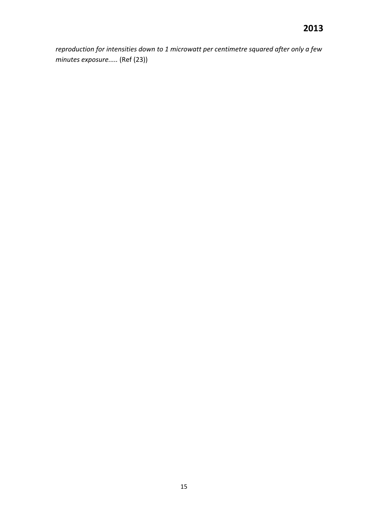*reproduction for intensities down to 1 microwatt per centimetre squared after only a few minutes exposure.....* (Ref (23))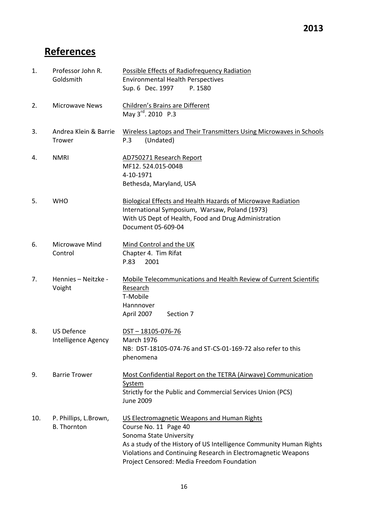## **References**

| 1.  | Professor John R.<br>Goldsmith              | Possible Effects of Radiofrequency Radiation<br><b>Environmental Health Perspectives</b><br>Sup. 6 Dec. 1997<br>P. 1580                                                                                                                                                               |
|-----|---------------------------------------------|---------------------------------------------------------------------------------------------------------------------------------------------------------------------------------------------------------------------------------------------------------------------------------------|
| 2.  | <b>Microwave News</b>                       | Children's Brains are Different<br>May 3rd. 2010 P.3                                                                                                                                                                                                                                  |
| 3.  | Andrea Klein & Barrie<br>Trower             | Wireless Laptops and Their Transmitters Using Microwaves in Schools<br>P.3<br>(Undated)                                                                                                                                                                                               |
| 4.  | <b>NMRI</b>                                 | AD750271 Research Report<br>MF12.524.015-004B<br>4-10-1971<br>Bethesda, Maryland, USA                                                                                                                                                                                                 |
| 5.  | <b>WHO</b>                                  | <b>Biological Effects and Health Hazards of Microwave Radiation</b><br>International Symposium, Warsaw, Poland (1973)<br>With US Dept of Health, Food and Drug Administration<br>Document 05-609-04                                                                                   |
| 6.  | <b>Microwave Mind</b><br>Control            | Mind Control and the UK<br>Chapter 4. Tim Rifat<br>P.83<br>2001                                                                                                                                                                                                                       |
| 7.  | Hennies - Neitzke -<br>Voight               | Mobile Telecommunications and Health Review of Current Scientific<br>Research<br>T-Mobile<br>Hannnover<br>April 2007<br>Section 7                                                                                                                                                     |
| 8.  | <b>US Defence</b><br>Intelligence Agency    | $DST - 18105 - 076 - 76$<br><b>March 1976</b><br>NB: DST-18105-074-76 and ST-CS-01-169-72 also refer to this<br>phenomena                                                                                                                                                             |
| 9.  | <b>Barrie Trower</b>                        | Most Confidential Report on the TETRA (Airwave) Communication<br><b>System</b><br>Strictly for the Public and Commercial Services Union (PCS)<br><b>June 2009</b>                                                                                                                     |
| 10. | P. Phillips, L.Brown,<br><b>B.</b> Thornton | US Electromagnetic Weapons and Human Rights<br>Course No. 11 Page 40<br>Sonoma State University<br>As a study of the History of US Intelligence Community Human Rights<br>Violations and Continuing Research in Electromagnetic Weapons<br>Project Censored: Media Freedom Foundation |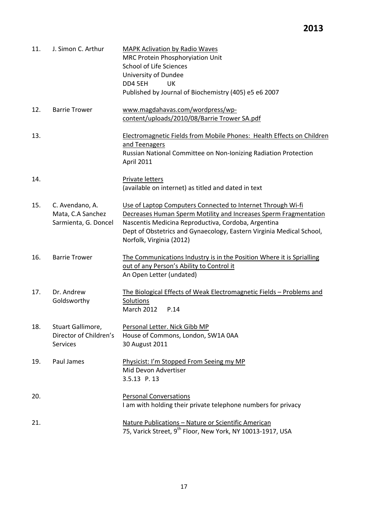| 11. | J. Simon C. Arthur                                             | <b>MAPK Aclivation by Radio Waves</b><br>MRC Protein Phosphoryiation Unit<br><b>School of Life Sciences</b><br>University of Dundee<br>DD4 5EH<br>UK<br>Published by Journal of Biochemistry (405) e5 e6 2007                                                                              |
|-----|----------------------------------------------------------------|--------------------------------------------------------------------------------------------------------------------------------------------------------------------------------------------------------------------------------------------------------------------------------------------|
| 12. | <b>Barrie Trower</b>                                           | www.magdahavas.com/wordpress/wp-<br>content/uploads/2010/08/Barrie Trower SA.pdf                                                                                                                                                                                                           |
| 13. |                                                                | <b>Electromagnetic Fields from Mobile Phones: Health Effects on Children</b><br>and Teenagers<br>Russian National Committee on Non-Ionizing Radiation Protection<br>April 2011                                                                                                             |
| 14. |                                                                | Private letters<br>(available on internet) as titled and dated in text                                                                                                                                                                                                                     |
| 15. | C. Avendano, A.<br>Mata, C.A Sanchez<br>Sarmienta, G. Doncel   | Use of Laptop Computers Connected to Internet Through Wi-fi<br>Decreases Human Sperm Motility and Increases Sperm Fragmentation<br>Nascentis Medicina Reproductiva, Cordoba, Argentina<br>Dept of Obstetrics and Gynaecology, Eastern Virginia Medical School,<br>Norfolk, Virginia (2012) |
| 16. | <b>Barrie Trower</b>                                           | The Communications Industry is in the Position Where it is Sprialling<br>out of any Person's Ability to Control it<br>An Open Letter (undated)                                                                                                                                             |
| 17. | Dr. Andrew<br>Goldsworthy                                      | The Biological Effects of Weak Electromagnetic Fields - Problems and<br><b>Solutions</b><br><b>March 2012</b><br>P.14                                                                                                                                                                      |
| 18. | Stuart Gallimore,<br>Director of Children's<br><b>Services</b> | Personal Letter. Nick Gibb MP<br>House of Commons, London, SW1A 0AA<br>30 August 2011                                                                                                                                                                                                      |
| 19. | Paul James                                                     | Physicist: I'm Stopped From Seeing my MP<br>Mid Devon Advertiser<br>3.5.13 P.13                                                                                                                                                                                                            |
| 20. |                                                                | <b>Personal Conversations</b><br>I am with holding their private telephone numbers for privacy                                                                                                                                                                                             |
| 21. |                                                                | Nature Publications - Nature or Scientific American<br>75, Varick Street, 9 <sup>th</sup> Floor, New York, NY 10013-1917, USA                                                                                                                                                              |